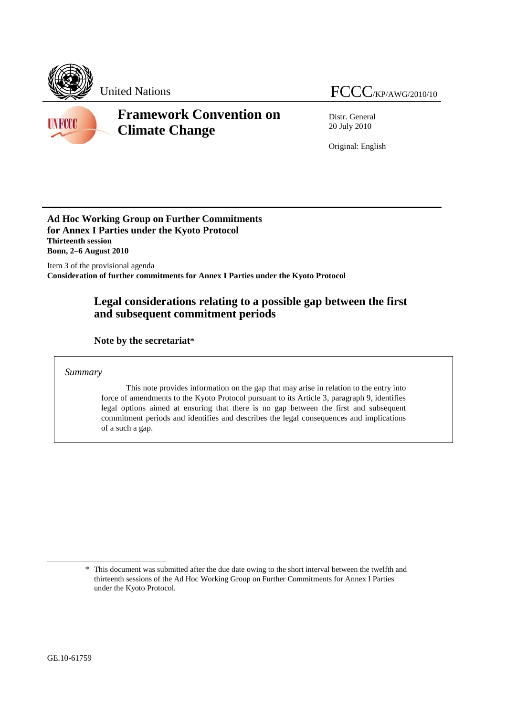



# **Framework Convention on Climate Change**

Distr. General 20 July 2010

Original: English

## **Ad Hoc Working Group on Further Commitments for Annex I Parties under the Kyoto Protocol Thirteenth session Bonn, 2–6 August 2010**

Item 3 of the provisional agenda **Consideration of further commitments for Annex I Parties under the Kyoto Protocol** 

# **Legal considerations relating to a possible gap between the first and subsequent commitment periods**

 **Note by the secretariat\***

*Summary* 

This note provides information on the gap that may arise in relation to the entry into force of amendments to the Kyoto Protocol pursuant to its Article 3, paragraph 9, identifies legal options aimed at ensuring that there is no gap between the first and subsequent commitment periods and identifies and describes the legal consequences and implications of a such a gap.

 $\overline{a}$ 

<sup>\*</sup> This document was submitted after the due date owing to the short interval between the twelfth and thirteenth sessions of the Ad Hoc Working Group on Further Commitments for Annex I Parties under the Kyoto Protocol.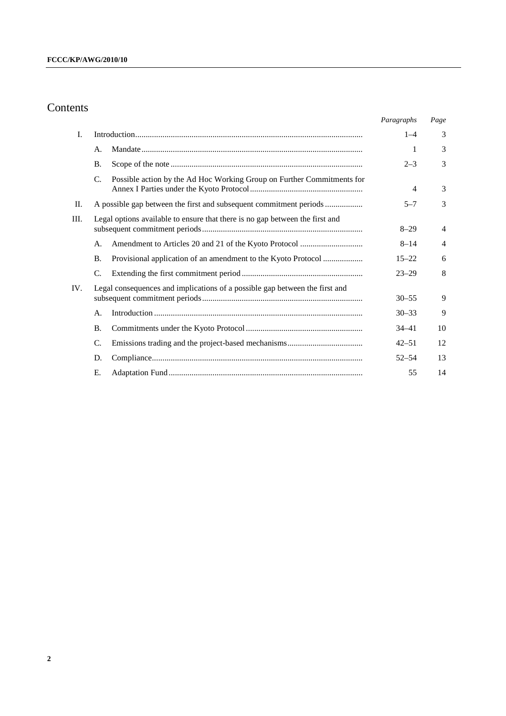# Contents

|      |                                                                                       | Paragraphs     | Page           |
|------|---------------------------------------------------------------------------------------|----------------|----------------|
| I.   |                                                                                       | $1 - 4$        | 3              |
|      | А.                                                                                    | 1              | 3              |
|      | <b>B.</b>                                                                             | $2 - 3$        | 3              |
|      | $C_{\cdot}$<br>Possible action by the Ad Hoc Working Group on Further Commitments for | $\overline{4}$ | 3              |
| II.  | A possible gap between the first and subsequent commitment periods                    | $5 - 7$        | 3              |
| III. | Legal options available to ensure that there is no gap between the first and          | $8 - 29$       | $\overline{4}$ |
|      | A.                                                                                    | $8 - 14$       | $\overline{4}$ |
|      | Provisional application of an amendment to the Kyoto Protocol<br><b>B.</b>            | $15 - 22$      | 6              |
|      | C.                                                                                    | $23 - 29$      | 8              |
| IV.  | Legal consequences and implications of a possible gap between the first and           | $30 - 55$      | 9              |
|      | А.                                                                                    | $30 - 33$      | 9              |
|      | <b>B.</b>                                                                             | 34–41          | 10             |
|      | C.                                                                                    | $42 - 51$      | 12             |
|      | D.                                                                                    | $52 - 54$      | 13             |
|      | Е.                                                                                    | 55             | 14             |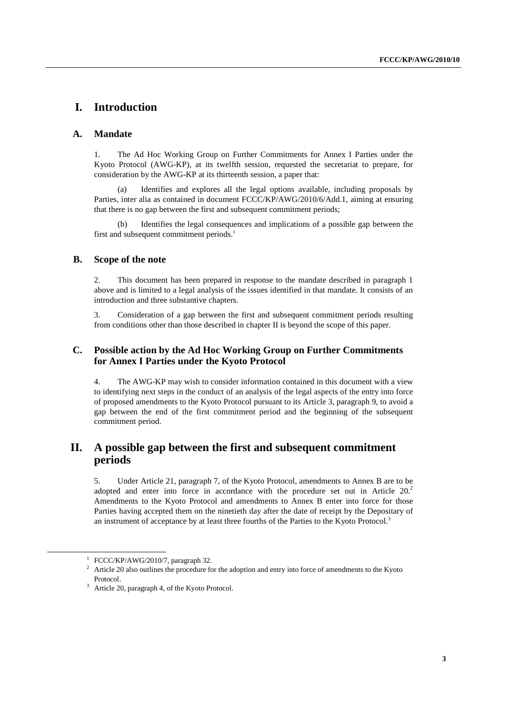# **I. Introduction**

### **A. Mandate**

1. The Ad Hoc Working Group on Further Commitments for Annex I Parties under the Kyoto Protocol (AWG-KP), at its twelfth session, requested the secretariat to prepare, for consideration by the AWG-KP at its thirteenth session, a paper that:

Identifies and explores all the legal options available, including proposals by Parties, inter alia as contained in document FCCC/KP/AWG/2010/6/Add.1, aiming at ensuring that there is no gap between the first and subsequent commitment periods;

Identifies the legal consequences and implications of a possible gap between the first and subsequent commitment periods.<sup>1</sup>

## **B. Scope of the note**

2. This document has been prepared in response to the mandate described in paragraph 1 above and is limited to a legal analysis of the issues identified in that mandate. It consists of an introduction and three substantive chapters.

3. Consideration of a gap between the first and subsequent commitment periods resulting from conditions other than those described in chapter II is beyond the scope of this paper.

## **C. Possible action by the Ad Hoc Working Group on Further Commitments for Annex I Parties under the Kyoto Protocol**

4. The AWG-KP may wish to consider information contained in this document with a view to identifying next steps in the conduct of an analysis of the legal aspects of the entry into force of proposed amendments to the Kyoto Protocol pursuant to its Article 3, paragraph 9, to avoid a gap between the end of the first commitment period and the beginning of the subsequent commitment period.

## **II. A possible gap between the first and subsequent commitment periods**

5. Under Article 21, paragraph 7, of the Kyoto Protocol, amendments to Annex B are to be adopted and enter into force in accordance with the procedure set out in Article  $20<sup>2</sup>$ Amendments to the Kyoto Protocol and amendments to Annex B enter into force for those Parties having accepted them on the ninetieth day after the date of receipt by the Depositary of an instrument of acceptance by at least three fourths of the Parties to the Kyoto Protocol.<sup>3</sup>

<sup>&</sup>lt;u>1</u> <sup>1</sup> FCCC/KP/AWG/2010/7, paragraph 32.

<sup>&</sup>lt;sup>2</sup> Article 20 also outlines the procedure for the adoption and entry into force of amendments to the Kyoto Protocol.

<sup>&</sup>lt;sup>3</sup> Article 20, paragraph 4, of the Kyoto Protocol.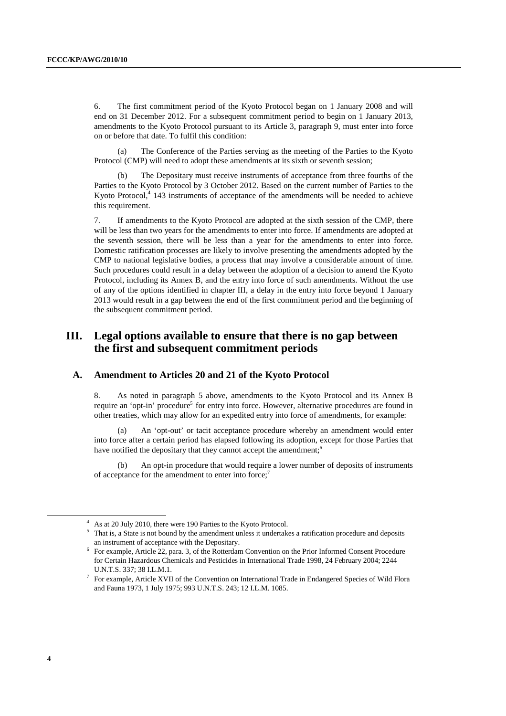6. The first commitment period of the Kyoto Protocol began on 1 January 2008 and will end on 31 December 2012. For a subsequent commitment period to begin on 1 January 2013, amendments to the Kyoto Protocol pursuant to its Article 3, paragraph 9, must enter into force on or before that date. To fulfil this condition:

The Conference of the Parties serving as the meeting of the Parties to the Kyoto Protocol (CMP) will need to adopt these amendments at its sixth or seventh session;

(b) The Depositary must receive instruments of acceptance from three fourths of the Parties to the Kyoto Protocol by 3 October 2012. Based on the current number of Parties to the Kyoto Protocol, $4$  143 instruments of acceptance of the amendments will be needed to achieve this requirement.

7. If amendments to the Kyoto Protocol are adopted at the sixth session of the CMP, there will be less than two years for the amendments to enter into force. If amendments are adopted at the seventh session, there will be less than a year for the amendments to enter into force. Domestic ratification processes are likely to involve presenting the amendments adopted by the CMP to national legislative bodies, a process that may involve a considerable amount of time. Such procedures could result in a delay between the adoption of a decision to amend the Kyoto Protocol, including its Annex B, and the entry into force of such amendments. Without the use of any of the options identified in chapter III, a delay in the entry into force beyond 1 January 2013 would result in a gap between the end of the first commitment period and the beginning of the subsequent commitment period.

## **III. Legal options available to ensure that there is no gap between the first and subsequent commitment periods**

## **A. Amendment to Articles 20 and 21 of the Kyoto Protocol**

8. As noted in paragraph 5 above, amendments to the Kyoto Protocol and its Annex B require an 'opt-in' procedure<sup>5</sup> for entry into force. However, alternative procedures are found in other treaties, which may allow for an expedited entry into force of amendments, for example:

(a) An 'opt-out' or tacit acceptance procedure whereby an amendment would enter into force after a certain period has elapsed following its adoption, except for those Parties that have notified the depositary that they cannot accept the amendment;<sup>6</sup>

An opt-in procedure that would require a lower number of deposits of instruments of acceptance for the amendment to enter into force;<sup>7</sup>

 <sup>4</sup> <sup>4</sup> As at 20 July 2010, there were 190 Parties to the Kyoto Protocol.

 $5$  That is, a State is not bound by the amendment unless it undertakes a ratification procedure and deposits an instrument of acceptance with the Depositary.

<sup>&</sup>lt;sup>6</sup> For example, Article 22, para. 3, of the Rotterdam Convention on the Prior Informed Consent Procedure for Certain Hazardous Chemicals and Pesticides in International Trade 1998, 24 February 2004; 2244 U.N.T.S. 337; 38 I.L.M.1. 7

 $7$  For example, Article XVII of the Convention on International Trade in Endangered Species of Wild Flora and Fauna 1973, 1 July 1975; 993 U.N.T.S. 243; 12 I.L.M. 1085.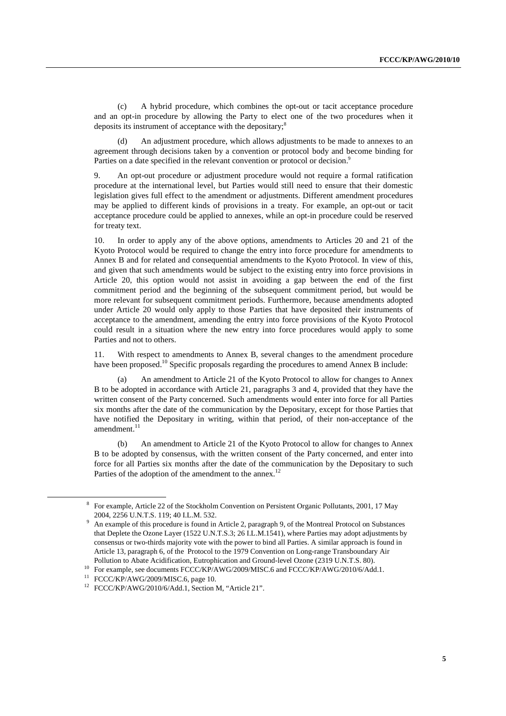(c) A hybrid procedure, which combines the opt-out or tacit acceptance procedure and an opt-in procedure by allowing the Party to elect one of the two procedures when it deposits its instrument of acceptance with the depositary;<sup>8</sup>

(d) An adjustment procedure, which allows adjustments to be made to annexes to an agreement through decisions taken by a convention or protocol body and become binding for Parties on a date specified in the relevant convention or protocol or decision.<sup>9</sup>

9. An opt-out procedure or adjustment procedure would not require a formal ratification procedure at the international level, but Parties would still need to ensure that their domestic legislation gives full effect to the amendment or adjustments. Different amendment procedures may be applied to different kinds of provisions in a treaty. For example, an opt-out or tacit acceptance procedure could be applied to annexes, while an opt-in procedure could be reserved for treaty text.

10. In order to apply any of the above options, amendments to Articles 20 and 21 of the Kyoto Protocol would be required to change the entry into force procedure for amendments to Annex B and for related and consequential amendments to the Kyoto Protocol. In view of this, and given that such amendments would be subject to the existing entry into force provisions in Article 20, this option would not assist in avoiding a gap between the end of the first commitment period and the beginning of the subsequent commitment period, but would be more relevant for subsequent commitment periods. Furthermore, because amendments adopted under Article 20 would only apply to those Parties that have deposited their instruments of acceptance to the amendment, amending the entry into force provisions of the Kyoto Protocol could result in a situation where the new entry into force procedures would apply to some Parties and not to others.

11. With respect to amendments to Annex B, several changes to the amendment procedure have been proposed.<sup>10</sup> Specific proposals regarding the procedures to amend Annex B include:

An amendment to Article 21 of the Kyoto Protocol to allow for changes to Annex B to be adopted in accordance with Article 21, paragraphs 3 and 4, provided that they have the written consent of the Party concerned. Such amendments would enter into force for all Parties six months after the date of the communication by the Depositary, except for those Parties that have notified the Depositary in writing, within that period, of their non-acceptance of the  $a$ mendment.<sup>11</sup>

(b) An amendment to Article 21 of the Kyoto Protocol to allow for changes to Annex B to be adopted by consensus, with the written consent of the Party concerned, and enter into force for all Parties six months after the date of the communication by the Depositary to such Parties of the adoption of the amendment to the annex.<sup>12</sup>

 <sup>8</sup> For example, Article 22 of the Stockholm Convention on Persistent Organic Pollutants, 2001, 17 May 2004, 2256 U.N.T.S. 119; 40 I.L.M. 532. 9

An example of this procedure is found in Article 2, paragraph 9, of the Montreal Protocol on Substances that Deplete the Ozone Layer (1522 U.N.T.S.3; 26 I.L.M.1541), where Parties may adopt adjustments by consensus or two-thirds majority vote with the power to bind all Parties. A similar approach is found in Article 13, paragraph 6, of the Protocol to the 1979 Convention on Long-range Transboundary Air

Pollution to Abate Acidification, Eutrophication and Ground-level Ozone (2319 U.N.T.S. 80). 10 For example, see documents FCCC/KP/AWG/2009/MISC.6 and FCCC/KP/AWG/2010/6/Add.1.

<sup>11</sup> FCCC/KP/AWG/2009/MISC.6, page 10.

<sup>&</sup>lt;sup>12</sup> FCCC/KP/AWG/2010/6/Add.1, Section M, "Article 21".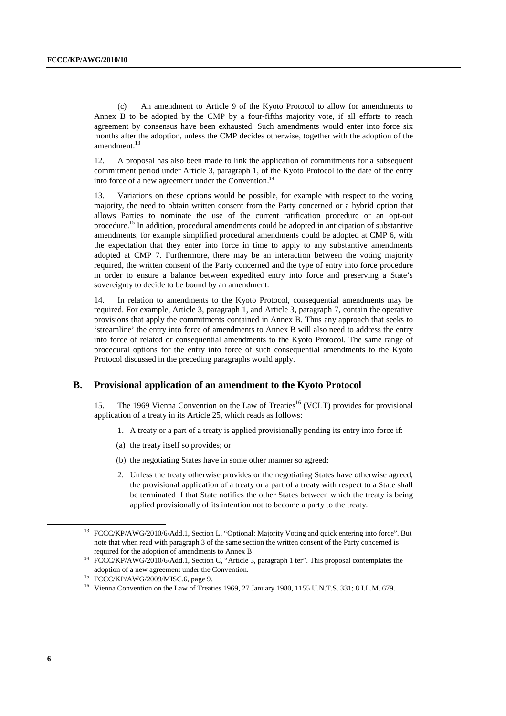(c) An amendment to Article 9 of the Kyoto Protocol to allow for amendments to Annex B to be adopted by the CMP by a four-fifths majority vote, if all efforts to reach agreement by consensus have been exhausted. Such amendments would enter into force six months after the adoption, unless the CMP decides otherwise, together with the adoption of the amendment.<sup>13</sup>

12. A proposal has also been made to link the application of commitments for a subsequent commitment period under Article 3, paragraph 1, of the Kyoto Protocol to the date of the entry into force of a new agreement under the Convention.<sup>14</sup>

13. Variations on these options would be possible, for example with respect to the voting majority, the need to obtain written consent from the Party concerned or a hybrid option that allows Parties to nominate the use of the current ratification procedure or an opt-out procedure.15 In addition, procedural amendments could be adopted in anticipation of substantive amendments, for example simplified procedural amendments could be adopted at CMP 6, with the expectation that they enter into force in time to apply to any substantive amendments adopted at CMP 7. Furthermore, there may be an interaction between the voting majority required, the written consent of the Party concerned and the type of entry into force procedure in order to ensure a balance between expedited entry into force and preserving a State's sovereignty to decide to be bound by an amendment.

14. In relation to amendments to the Kyoto Protocol, consequential amendments may be required. For example, Article 3, paragraph 1, and Article 3, paragraph 7, contain the operative provisions that apply the commitments contained in Annex B. Thus any approach that seeks to 'streamline' the entry into force of amendments to Annex B will also need to address the entry into force of related or consequential amendments to the Kyoto Protocol. The same range of procedural options for the entry into force of such consequential amendments to the Kyoto Protocol discussed in the preceding paragraphs would apply.

## **B. Provisional application of an amendment to the Kyoto Protocol**

15. The 1969 Vienna Convention on the Law of Treaties<sup>16</sup> (VCLT) provides for provisional application of a treaty in its Article 25, which reads as follows:

- 1. A treaty or a part of a treaty is applied provisionally pending its entry into force if:
- (a) the treaty itself so provides; or
- (b) the negotiating States have in some other manner so agreed;
- 2. Unless the treaty otherwise provides or the negotiating States have otherwise agreed, the provisional application of a treaty or a part of a treaty with respect to a State shall be terminated if that State notifies the other States between which the treaty is being applied provisionally of its intention not to become a party to the treaty.

<sup>&</sup>lt;sup>13</sup> FCCC/KP/AWG/2010/6/Add.1, Section L, "Optional: Majority Voting and quick entering into force". But note that when read with paragraph 3 of the same section the written consent of the Party concerned is

required for the adoption of amendments to Annex B. 14 FCCC/KP/AWG/2010/6/Add.1, Section C, "Article 3, paragraph 1 ter". This proposal contemplates the adoption of a new agreement under the Convention. 15 FCCC/KP/AWG/2009/MISC.6, page 9.

<sup>&</sup>lt;sup>16</sup> Vienna Convention on the Law of Treaties 1969, 27 January 1980, 1155 U.N.T.S. 331; 8 I.L.M. 679.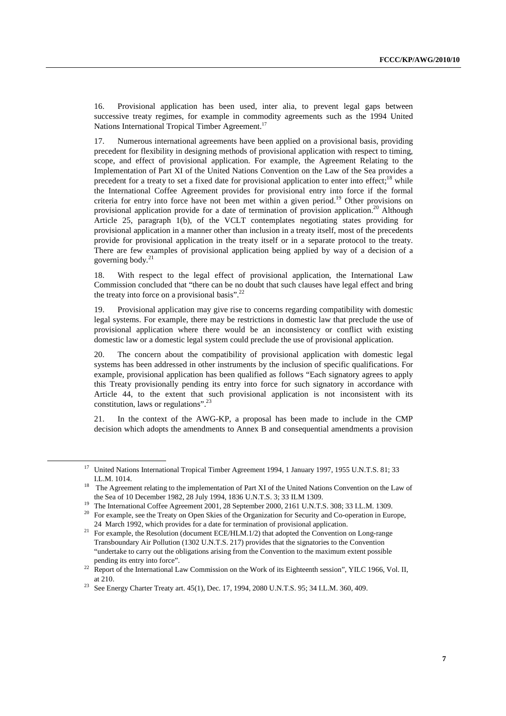16. Provisional application has been used, inter alia, to prevent legal gaps between successive treaty regimes, for example in commodity agreements such as the 1994 United Nations International Tropical Timber Agreement.<sup>17</sup>

17. Numerous international agreements have been applied on a provisional basis, providing precedent for flexibility in designing methods of provisional application with respect to timing, scope, and effect of provisional application. For example, the Agreement Relating to the Implementation of Part XI of the United Nations Convention on the Law of the Sea provides a precedent for a treaty to set a fixed date for provisional application to enter into effect;<sup>18</sup> while the International Coffee Agreement provides for provisional entry into force if the formal criteria for entry into force have not been met within a given period.<sup>19</sup> Other provisions on provisional application provide for a date of termination of provision application.<sup>20</sup> Although Article 25, paragraph 1(b), of the VCLT contemplates negotiating states providing for provisional application in a manner other than inclusion in a treaty itself, most of the precedents provide for provisional application in the treaty itself or in a separate protocol to the treaty. There are few examples of provisional application being applied by way of a decision of a governing body.<sup>21</sup>

18. With respect to the legal effect of provisional application, the International Law Commission concluded that "there can be no doubt that such clauses have legal effect and bring the treaty into force on a provisional basis". $^{22}$ 

19. Provisional application may give rise to concerns regarding compatibility with domestic legal systems. For example, there may be restrictions in domestic law that preclude the use of provisional application where there would be an inconsistency or conflict with existing domestic law or a domestic legal system could preclude the use of provisional application.

20. The concern about the compatibility of provisional application with domestic legal systems has been addressed in other instruments by the inclusion of specific qualifications. For example, provisional application has been qualified as follows "Each signatory agrees to apply this Treaty provisionally pending its entry into force for such signatory in accordance with Article 44, to the extent that such provisional application is not inconsistent with its constitution, laws or regulations".23

21. In the context of the AWG-KP, a proposal has been made to include in the CMP decision which adopts the amendments to Annex B and consequential amendments a provision

 <sup>17</sup> United Nations International Tropical Timber Agreement 1994, 1 January 1997, 1955 U.N.T.S. 81; 33 I.L.M. 1014.<br>The Agreement relating to the implementation of Part XI of the United Nations Convention on the Law of

the Sea of 10 December 1982, 28 July 1994, 1836 U.N.T.S. 3; 33 ILM 1309.<br><sup>19</sup> The International Coffee Agreement 2001, 28 September 2000, 2161 U.N.T.S. 308; 33 I.L.M. 1309.

<sup>&</sup>lt;sup>20</sup> For example, see the Treaty on Open Skies of the Organization for Security and Co-operation in Europe,

<sup>24</sup> March 1992, which provides for a date for termination of provisional application.<br><sup>21</sup> For example, the Resolution (document ECE/HLM.1/2) that adopted the Convention on Long-range Transboundary Air Pollution (1302 U.N.T.S. 217) provides that the signatories to the Convention "undertake to carry out the obligations arising from the Convention to the maximum extent possible

pending its entry into force". 22 Report of the International Law Commission on the Work of its Eighteenth session", YILC 1966, Vol. II,

at 210. 23 See Energy Charter Treaty art. 45(1), Dec. 17, 1994, 2080 U.N.T.S. 95; 34 I.L.M. 360, 409.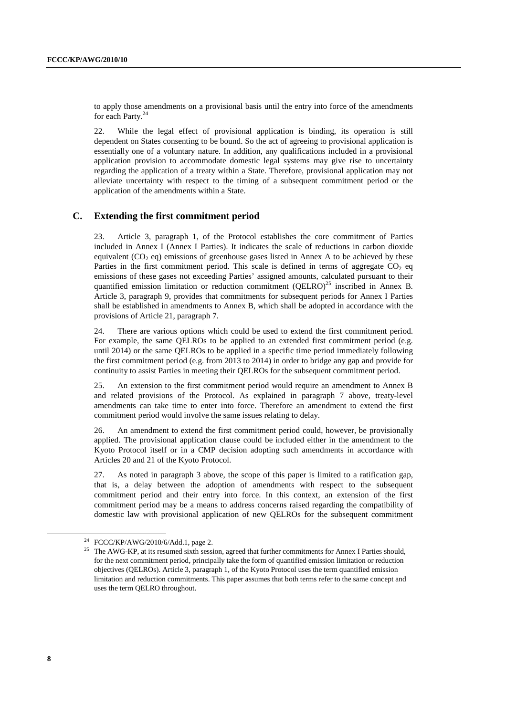to apply those amendments on a provisional basis until the entry into force of the amendments for each Party.<sup>24</sup>

22. While the legal effect of provisional application is binding, its operation is still dependent on States consenting to be bound. So the act of agreeing to provisional application is essentially one of a voluntary nature. In addition, any qualifications included in a provisional application provision to accommodate domestic legal systems may give rise to uncertainty regarding the application of a treaty within a State. Therefore, provisional application may not alleviate uncertainty with respect to the timing of a subsequent commitment period or the application of the amendments within a State.

#### **C. Extending the first commitment period**

23. Article 3, paragraph 1, of the Protocol establishes the core commitment of Parties included in Annex I (Annex I Parties). It indicates the scale of reductions in carbon dioxide equivalent  $(CO<sub>2</sub> eq)$  emissions of greenhouse gases listed in Annex A to be achieved by these Parties in the first commitment period. This scale is defined in terms of aggregate  $CO<sub>2</sub>$  eq emissions of these gases not exceeding Parties' assigned amounts, calculated pursuant to their quantified emission limitation or reduction commitment (OELRO)<sup>25</sup> inscribed in Annex B. Article 3, paragraph 9, provides that commitments for subsequent periods for Annex I Parties shall be established in amendments to Annex B, which shall be adopted in accordance with the provisions of Article 21, paragraph 7.

24. There are various options which could be used to extend the first commitment period. For example, the same QELROs to be applied to an extended first commitment period (e.g. until 2014) or the same QELROs to be applied in a specific time period immediately following the first commitment period (e.g. from 2013 to 2014) in order to bridge any gap and provide for continuity to assist Parties in meeting their QELROs for the subsequent commitment period.

25. An extension to the first commitment period would require an amendment to Annex B and related provisions of the Protocol. As explained in paragraph 7 above, treaty-level amendments can take time to enter into force. Therefore an amendment to extend the first commitment period would involve the same issues relating to delay.

26. An amendment to extend the first commitment period could, however, be provisionally applied. The provisional application clause could be included either in the amendment to the Kyoto Protocol itself or in a CMP decision adopting such amendments in accordance with Articles 20 and 21 of the Kyoto Protocol.

27. As noted in paragraph 3 above, the scope of this paper is limited to a ratification gap, that is, a delay between the adoption of amendments with respect to the subsequent commitment period and their entry into force. In this context, an extension of the first commitment period may be a means to address concerns raised regarding the compatibility of domestic law with provisional application of new QELROs for the subsequent commitment

 $^{24}$  FCCC/KP/AWG/2010/6/Add.1, page 2.

<sup>&</sup>lt;sup>25</sup> The AWG-KP, at its resumed sixth session, agreed that further commitments for Annex I Parties should, for the next commitment period, principally take the form of quantified emission limitation or reduction objectives (QELROs). Article 3, paragraph 1, of the Kyoto Protocol uses the term quantified emission limitation and reduction commitments. This paper assumes that both terms refer to the same concept and uses the term QELRO throughout.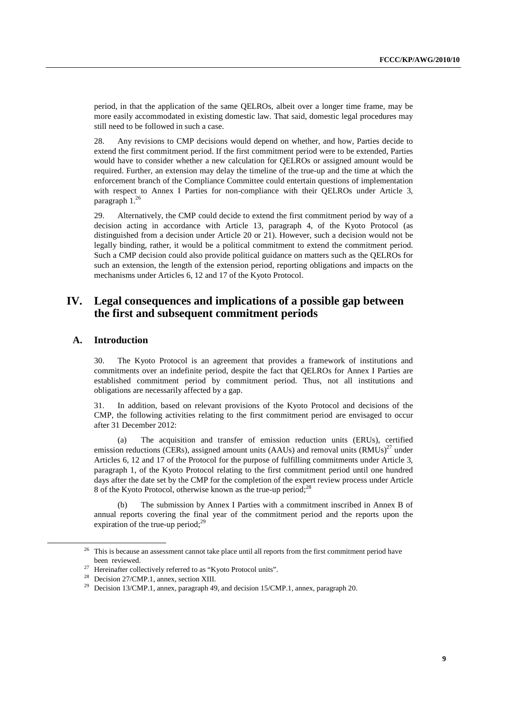period, in that the application of the same QELROs, albeit over a longer time frame, may be more easily accommodated in existing domestic law. That said, domestic legal procedures may still need to be followed in such a case.

28. Any revisions to CMP decisions would depend on whether, and how, Parties decide to extend the first commitment period. If the first commitment period were to be extended, Parties would have to consider whether a new calculation for QELROs or assigned amount would be required. Further, an extension may delay the timeline of the true-up and the time at which the enforcement branch of the Compliance Committee could entertain questions of implementation with respect to Annex I Parties for non-compliance with their QELROs under Article 3, paragraph 1.26

29. Alternatively, the CMP could decide to extend the first commitment period by way of a decision acting in accordance with Article 13, paragraph 4, of the Kyoto Protocol (as distinguished from a decision under Article 20 or 21). However, such a decision would not be legally binding, rather, it would be a political commitment to extend the commitment period. Such a CMP decision could also provide political guidance on matters such as the QELROs for such an extension, the length of the extension period, reporting obligations and impacts on the mechanisms under Articles 6, 12 and 17 of the Kyoto Protocol.

## **IV. Legal consequences and implications of a possible gap between the first and subsequent commitment periods**

## **A. Introduction**

30. The Kyoto Protocol is an agreement that provides a framework of institutions and commitments over an indefinite period, despite the fact that QELROs for Annex I Parties are established commitment period by commitment period. Thus, not all institutions and obligations are necessarily affected by a gap.

31. In addition, based on relevant provisions of the Kyoto Protocol and decisions of the CMP, the following activities relating to the first commitment period are envisaged to occur after 31 December 2012:

(a) The acquisition and transfer of emission reduction units (ERUs), certified emission reductions (CERs), assigned amount units (AAUs) and removal units  $(RMUs)^{27}$  under Articles 6, 12 and 17 of the Protocol for the purpose of fulfilling commitments under Article 3, paragraph 1, of the Kyoto Protocol relating to the first commitment period until one hundred days after the date set by the CMP for the completion of the expert review process under Article 8 of the Kyoto Protocol, otherwise known as the true-up period;<sup>28</sup>

(b) The submission by Annex I Parties with a commitment inscribed in Annex B of annual reports covering the final year of the commitment period and the reports upon the expiration of the true-up period; $^{29}$ 

<sup>&</sup>lt;sup>26</sup> This is because an assessment cannot take place until all reports from the first commitment period have been reviewed.<br>Hereinafter collectively referred to as "Kyoto Protocol units".

<sup>28</sup> Decision 27/CMP.1, annex, section XIII.

<sup>&</sup>lt;sup>29</sup> Decision 13/CMP.1, annex, paragraph 49, and decision 15/CMP.1, annex, paragraph 20.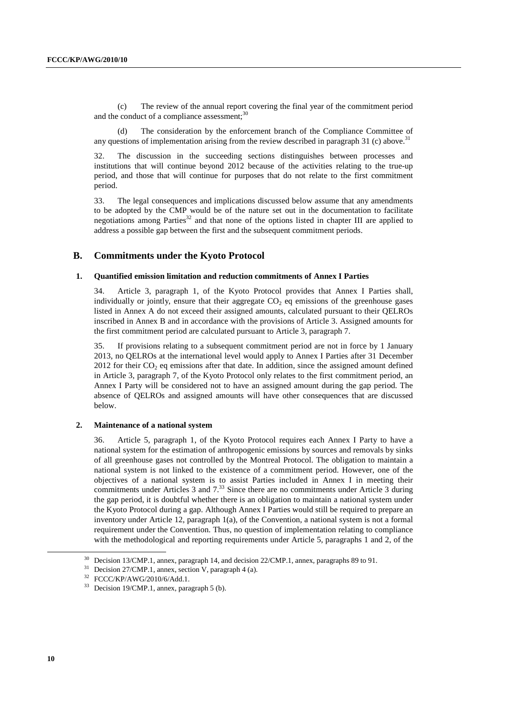(c) The review of the annual report covering the final year of the commitment period and the conduct of a compliance assessment;<sup>30</sup>

The consideration by the enforcement branch of the Compliance Committee of any questions of implementation arising from the review described in paragraph 31 (c) above.<sup>31</sup>

32. The discussion in the succeeding sections distinguishes between processes and institutions that will continue beyond 2012 because of the activities relating to the true-up period, and those that will continue for purposes that do not relate to the first commitment period.

33. The legal consequences and implications discussed below assume that any amendments to be adopted by the CMP would be of the nature set out in the documentation to facilitate negotiations among Parties $32$  and that none of the options listed in chapter III are applied to address a possible gap between the first and the subsequent commitment periods.

## **B. Commitments under the Kyoto Protocol**

#### **1. Quantified emission limitation and reduction commitments of Annex I Parties**

34. Article 3, paragraph 1, of the Kyoto Protocol provides that Annex I Parties shall, individually or jointly, ensure that their aggregate  $CO<sub>2</sub>$  eq emissions of the greenhouse gases listed in Annex A do not exceed their assigned amounts, calculated pursuant to their QELROs inscribed in Annex B and in accordance with the provisions of Article 3. Assigned amounts for the first commitment period are calculated pursuant to Article 3, paragraph 7.

35. If provisions relating to a subsequent commitment period are not in force by 1 January 2013, no QELROs at the international level would apply to Annex I Parties after 31 December  $2012$  for their  $CO<sub>2</sub>$  eq emissions after that date. In addition, since the assigned amount defined in Article 3, paragraph 7, of the Kyoto Protocol only relates to the first commitment period, an Annex I Party will be considered not to have an assigned amount during the gap period. The absence of QELROs and assigned amounts will have other consequences that are discussed below.

#### **2. Maintenance of a national system**

36. Article 5, paragraph 1, of the Kyoto Protocol requires each Annex I Party to have a national system for the estimation of anthropogenic emissions by sources and removals by sinks of all greenhouse gases not controlled by the Montreal Protocol. The obligation to maintain a national system is not linked to the existence of a commitment period. However, one of the objectives of a national system is to assist Parties included in Annex I in meeting their commitments under Articles 3 and  $7<sup>33</sup>$  Since there are no commitments under Article 3 during the gap period, it is doubtful whether there is an obligation to maintain a national system under the Kyoto Protocol during a gap. Although Annex I Parties would still be required to prepare an inventory under Article 12, paragraph 1(a), of the Convention, a national system is not a formal requirement under the Convention. Thus, no question of implementation relating to compliance with the methodological and reporting requirements under Article 5, paragraphs 1 and 2, of the

Decision 13/CMP.1, annex, paragraph 14, and decision 22/CMP.1, annex, paragraphs 89 to 91.

Decision 27/CMP.1, annex, section V, paragraph 4 (a).

<sup>32</sup> FCCC/KP/AWG/2010/6/Add.1.

<sup>33</sup> Decision 19/CMP.1, annex, paragraph 5 (b).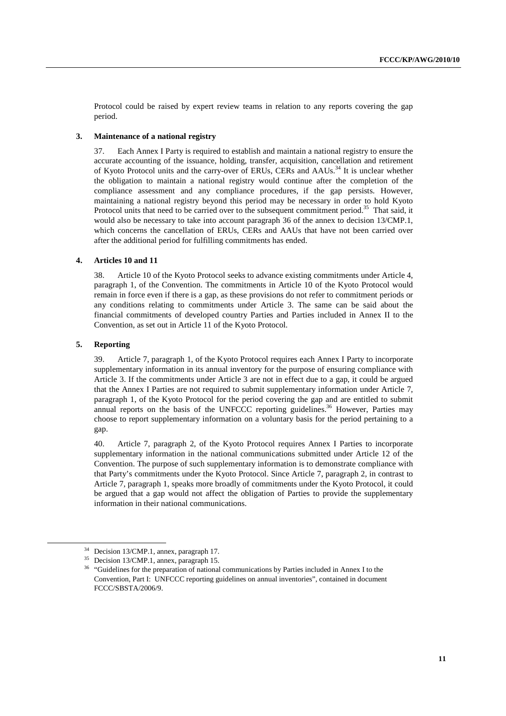Protocol could be raised by expert review teams in relation to any reports covering the gap period.

#### **3. Maintenance of a national registry**

37. Each Annex I Party is required to establish and maintain a national registry to ensure the accurate accounting of the issuance, holding, transfer, acquisition, cancellation and retirement of Kyoto Protocol units and the carry-over of ERUs, CERs and AAUs.34 It is unclear whether the obligation to maintain a national registry would continue after the completion of the compliance assessment and any compliance procedures, if the gap persists. However, maintaining a national registry beyond this period may be necessary in order to hold Kyoto Protocol units that need to be carried over to the subsequent commitment period.<sup>35</sup> That said, it would also be necessary to take into account paragraph 36 of the annex to decision 13/CMP.1, which concerns the cancellation of ERUs, CERs and AAUs that have not been carried over after the additional period for fulfilling commitments has ended.

#### **4. Articles 10 and 11**

38. Article 10 of the Kyoto Protocol seeks to advance existing commitments under Article 4, paragraph 1, of the Convention. The commitments in Article 10 of the Kyoto Protocol would remain in force even if there is a gap, as these provisions do not refer to commitment periods or any conditions relating to commitments under Article 3. The same can be said about the financial commitments of developed country Parties and Parties included in Annex II to the Convention, as set out in Article 11 of the Kyoto Protocol.

#### **5. Reporting**

39. Article 7, paragraph 1, of the Kyoto Protocol requires each Annex I Party to incorporate supplementary information in its annual inventory for the purpose of ensuring compliance with Article 3. If the commitments under Article 3 are not in effect due to a gap, it could be argued that the Annex I Parties are not required to submit supplementary information under Article 7, paragraph 1, of the Kyoto Protocol for the period covering the gap and are entitled to submit annual reports on the basis of the UNFCCC reporting guidelines.<sup>36</sup> However, Parties may choose to report supplementary information on a voluntary basis for the period pertaining to a gap.

40. Article 7, paragraph 2, of the Kyoto Protocol requires Annex I Parties to incorporate supplementary information in the national communications submitted under Article 12 of the Convention. The purpose of such supplementary information is to demonstrate compliance with that Party's commitments under the Kyoto Protocol. Since Article 7, paragraph 2, in contrast to Article 7, paragraph 1, speaks more broadly of commitments under the Kyoto Protocol, it could be argued that a gap would not affect the obligation of Parties to provide the supplementary information in their national communications.

 <sup>34</sup> Decision 13/CMP.1, annex, paragraph 17.

<sup>35</sup> Decision 13/CMP.1, annex, paragraph 15.

<sup>&</sup>lt;sup>36</sup> "Guidelines for the preparation of national communications by Parties included in Annex I to the Convention, Part I: UNFCCC reporting guidelines on annual inventories", contained in document FCCC/SBSTA/2006/9.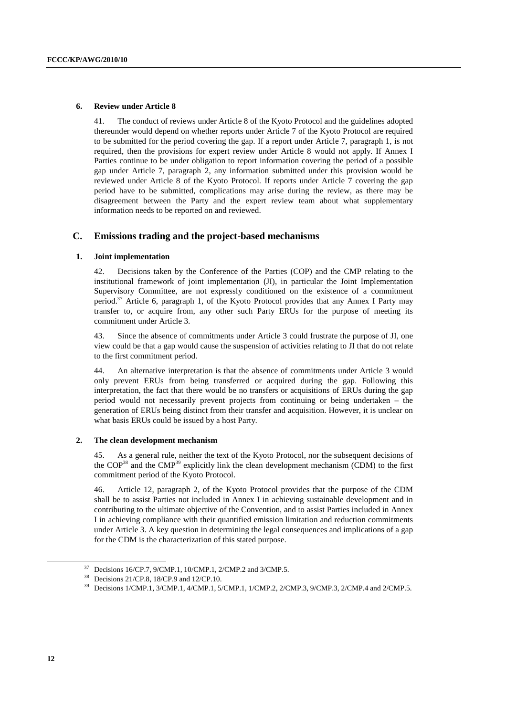#### **6. Review under Article 8**

41. The conduct of reviews under Article 8 of the Kyoto Protocol and the guidelines adopted thereunder would depend on whether reports under Article 7 of the Kyoto Protocol are required to be submitted for the period covering the gap. If a report under Article 7, paragraph 1, is not required, then the provisions for expert review under Article 8 would not apply. If Annex I Parties continue to be under obligation to report information covering the period of a possible gap under Article 7, paragraph 2, any information submitted under this provision would be reviewed under Article 8 of the Kyoto Protocol. If reports under Article 7 covering the gap period have to be submitted, complications may arise during the review, as there may be disagreement between the Party and the expert review team about what supplementary information needs to be reported on and reviewed.

### **C. Emissions trading and the project-based mechanisms**

#### **1. Joint implementation**

42. Decisions taken by the Conference of the Parties (COP) and the CMP relating to the institutional framework of joint implementation (JI), in particular the Joint Implementation Supervisory Committee, are not expressly conditioned on the existence of a commitment period.37 Article 6, paragraph 1, of the Kyoto Protocol provides that any Annex I Party may transfer to, or acquire from, any other such Party ERUs for the purpose of meeting its commitment under Article 3.

43. Since the absence of commitments under Article 3 could frustrate the purpose of JI, one view could be that a gap would cause the suspension of activities relating to JI that do not relate to the first commitment period.

44. An alternative interpretation is that the absence of commitments under Article 3 would only prevent ERUs from being transferred or acquired during the gap. Following this interpretation, the fact that there would be no transfers or acquisitions of ERUs during the gap period would not necessarily prevent projects from continuing or being undertaken – the generation of ERUs being distinct from their transfer and acquisition. However, it is unclear on what basis ERUs could be issued by a host Party.

#### **2. The clean development mechanism**

45. As a general rule, neither the text of the Kyoto Protocol, nor the subsequent decisions of the COP38 and the CMP39 explicitly link the clean development mechanism (CDM) to the first commitment period of the Kyoto Protocol.

46. Article 12, paragraph 2, of the Kyoto Protocol provides that the purpose of the CDM shall be to assist Parties not included in Annex I in achieving sustainable development and in contributing to the ultimate objective of the Convention, and to assist Parties included in Annex I in achieving compliance with their quantified emission limitation and reduction commitments under Article 3. A key question in determining the legal consequences and implications of a gap for the CDM is the characterization of this stated purpose.

 <sup>37</sup> Decisions 16/CP.7, 9/CMP.1, 10/CMP.1, 2/CMP.2 and 3/CMP.5.

<sup>38</sup> Decisions 21/CP.8, 18/CP.9 and 12/CP.10.

<sup>&</sup>lt;sup>39</sup> Decisions 1/CMP.1, 3/CMP.1, 4/CMP.1, 5/CMP.1, 1/CMP.2, 2/CMP.3, 9/CMP.3, 2/CMP.4 and 2/CMP.5.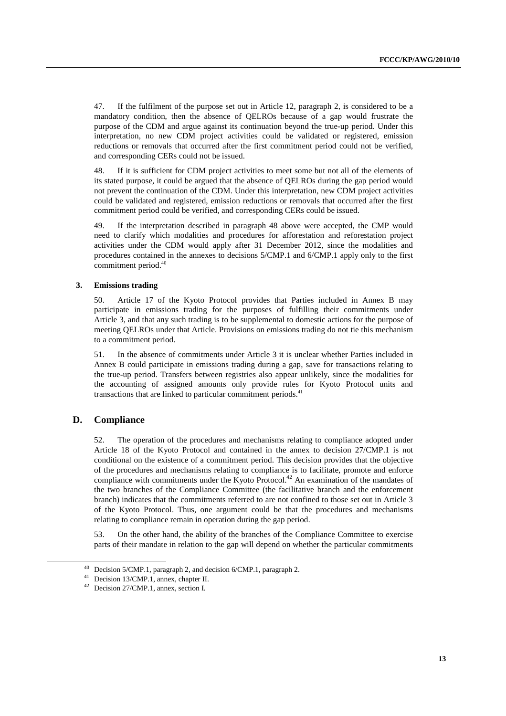47. If the fulfilment of the purpose set out in Article 12, paragraph 2, is considered to be a mandatory condition, then the absence of QELROs because of a gap would frustrate the purpose of the CDM and argue against its continuation beyond the true-up period. Under this interpretation, no new CDM project activities could be validated or registered, emission reductions or removals that occurred after the first commitment period could not be verified, and corresponding CERs could not be issued.

48. If it is sufficient for CDM project activities to meet some but not all of the elements of its stated purpose, it could be argued that the absence of QELROs during the gap period would not prevent the continuation of the CDM. Under this interpretation, new CDM project activities could be validated and registered, emission reductions or removals that occurred after the first commitment period could be verified, and corresponding CERs could be issued.

49. If the interpretation described in paragraph 48 above were accepted, the CMP would need to clarify which modalities and procedures for afforestation and reforestation project activities under the CDM would apply after 31 December 2012, since the modalities and procedures contained in the annexes to decisions 5/CMP.1 and 6/CMP.1 apply only to the first commitment period.40

#### **3. Emissions trading**

50. Article 17 of the Kyoto Protocol provides that Parties included in Annex B may participate in emissions trading for the purposes of fulfilling their commitments under Article 3, and that any such trading is to be supplemental to domestic actions for the purpose of meeting QELROs under that Article. Provisions on emissions trading do not tie this mechanism to a commitment period.

51. In the absence of commitments under Article 3 it is unclear whether Parties included in Annex B could participate in emissions trading during a gap, save for transactions relating to the true-up period. Transfers between registries also appear unlikely, since the modalities for the accounting of assigned amounts only provide rules for Kyoto Protocol units and transactions that are linked to particular commitment periods.<sup>41</sup>

## **D. Compliance**

52. The operation of the procedures and mechanisms relating to compliance adopted under Article 18 of the Kyoto Protocol and contained in the annex to decision 27/CMP.1 is not conditional on the existence of a commitment period. This decision provides that the objective of the procedures and mechanisms relating to compliance is to facilitate, promote and enforce compliance with commitments under the Kyoto Protocol.<sup>42</sup> An examination of the mandates of the two branches of the Compliance Committee (the facilitative branch and the enforcement branch) indicates that the commitments referred to are not confined to those set out in Article 3 of the Kyoto Protocol. Thus, one argument could be that the procedures and mechanisms relating to compliance remain in operation during the gap period.

53. On the other hand, the ability of the branches of the Compliance Committee to exercise parts of their mandate in relation to the gap will depend on whether the particular commitments

 <sup>40</sup> Decision 5/CMP.1, paragraph 2, and decision 6/CMP.1, paragraph 2.

<sup>41</sup> Decision 13/CMP.1, annex, chapter II.

<sup>42</sup> Decision 27/CMP.1, annex, section I.